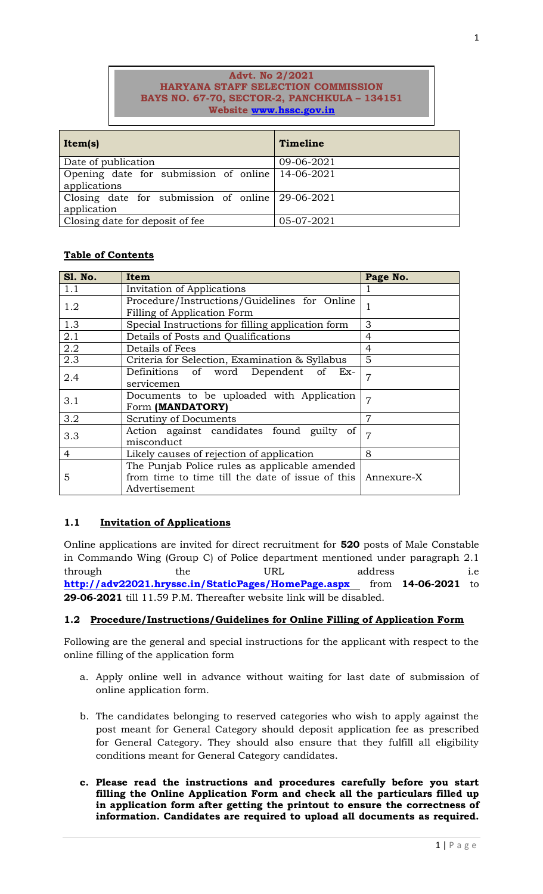### **Advt. No 2/2021 HARYANA STAFF SELECTION COMMISSION BAYS NO. 67-70, SECTOR-2, PANCHKULA – 134151 Website [www.hssc.gov.in](http://www.hssc.gov.in/)**

| Item(s)                                                             | Timeline   |
|---------------------------------------------------------------------|------------|
| Date of publication                                                 | 09-06-2021 |
| Opening date for submission of online   14-06-2021<br>applications  |            |
| Closing date for submission of online $ 29-06-2021 $<br>application |            |
| Closing date for deposit of fee                                     | 05-07-2021 |

# **Table of Contents**

| <b>S1. No.</b> | Item                                              | Page No.       |  |
|----------------|---------------------------------------------------|----------------|--|
| 1.1            | Invitation of Applications                        |                |  |
| 1.2            | Procedure/Instructions/Guidelines for Online      |                |  |
|                | Filling of Application Form                       |                |  |
| 1.3            | Special Instructions for filling application form | 3              |  |
| 2.1            | Details of Posts and Qualifications               | 4              |  |
| 2.2            | Details of Fees                                   | 4              |  |
| 2.3            | Criteria for Selection, Examination & Syllabus    | 5              |  |
| 2.4            | Definitions of word Dependent of<br>$Ex-$         | 7              |  |
|                | servicemen                                        |                |  |
| 3.1            | Documents to be uploaded with Application         | $\overline{7}$ |  |
|                | Form (MANDATORY)                                  |                |  |
| 3.2            | Scrutiny of Documents                             | $\overline{7}$ |  |
| 3.3            | Action against candidates found guilty of         | 7              |  |
|                | misconduct                                        |                |  |
| 4              | Likely causes of rejection of application         | 8              |  |
| 5              | The Punjab Police rules as applicable amended     |                |  |
|                | from time to time till the date of issue of this  | Annexure-X     |  |
|                | Advertisement                                     |                |  |

# **1.1 Invitation of Applications**

Online applications are invited for direct recruitment for **520** posts of Male Constable in Commando Wing (Group C) of Police department mentioned under paragraph 2.1 through the URL address i.e <http://adv22021.hryssc.in/StaticPages/HomePage.aspx> from 14-06-2021 to **29-06-2021** till 11.59 P.M. Thereafter website link will be disabled.

### **1.2 Procedure/Instructions/Guidelines for Online Filling of Application Form**

Following are the general and special instructions for the applicant with respect to the online filling of the application form

- a. Apply online well in advance without waiting for last date of submission of online application form.
- b. The candidates belonging to reserved categories who wish to apply against the post meant for General Category should deposit application fee as prescribed for General Category. They should also ensure that they fulfill all eligibility conditions meant for General Category candidates.
- **c. Please read the instructions and procedures carefully before you start filling the Online Application Form and check all the particulars filled up in application form after getting the printout to ensure the correctness of information. Candidates are required to upload all documents as required.**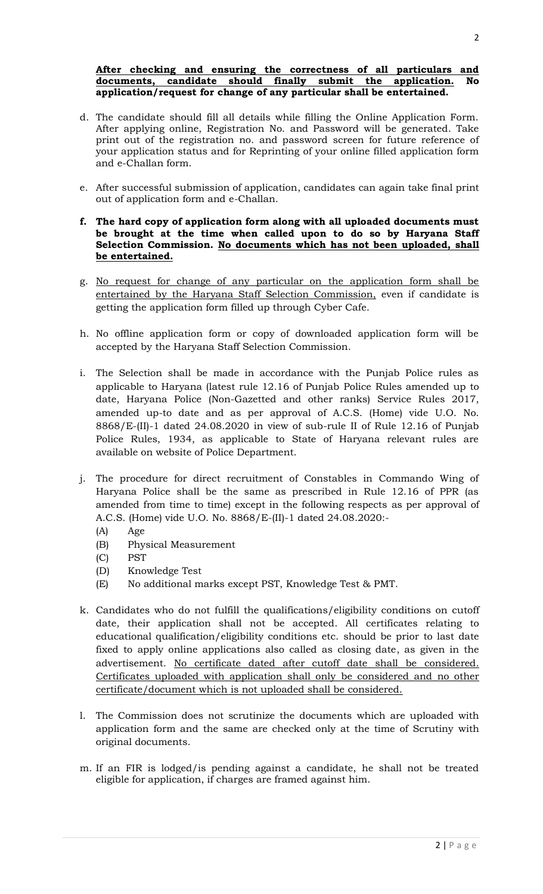#### **After checking and ensuring the correctness of all particulars and documents, candidate should finally submit the application. No application/request for change of any particular shall be entertained.**

- d. The candidate should fill all details while filling the Online Application Form. After applying online, Registration No. and Password will be generated. Take print out of the registration no. and password screen for future reference of your application status and for Reprinting of your online filled application form and e-Challan form.
- e. After successful submission of application, candidates can again take final print out of application form and e-Challan.
- **f. The hard copy of application form along with all uploaded documents must be brought at the time when called upon to do so by Haryana Staff Selection Commission. No documents which has not been uploaded, shall be entertained.**
- g. No request for change of any particular on the application form shall be entertained by the Haryana Staff Selection Commission, even if candidate is getting the application form filled up through Cyber Cafe.
- h. No offline application form or copy of downloaded application form will be accepted by the Haryana Staff Selection Commission.
- i. The Selection shall be made in accordance with the Punjab Police rules as applicable to Haryana (latest rule 12.16 of Punjab Police Rules amended up to date, Haryana Police (Non-Gazetted and other ranks) Service Rules 2017, amended up-to date and as per approval of A.C.S. (Home) vide U.O. No. 8868/E-(II)-1 dated 24.08.2020 in view of sub-rule II of Rule 12.16 of Punjab Police Rules, 1934, as applicable to State of Haryana relevant rules are available on website of Police Department.
- j. The procedure for direct recruitment of Constables in Commando Wing of Haryana Police shall be the same as prescribed in Rule 12.16 of PPR (as amended from time to time) except in the following respects as per approval of A.C.S. (Home) vide U.O. No. 8868/E-(II)-1 dated 24.08.2020:-
	- (A) Age
	- (B) Physical Measurement
	- (C) PST
	- (D) Knowledge Test
	- (E) No additional marks except PST, Knowledge Test & PMT.
- k. Candidates who do not fulfill the qualifications/eligibility conditions on cutoff date, their application shall not be accepted. All certificates relating to educational qualification/eligibility conditions etc. should be prior to last date fixed to apply online applications also called as closing date, as given in the advertisement. No certificate dated after cutoff date shall be considered. Certificates uploaded with application shall only be considered and no other certificate/document which is not uploaded shall be considered.
- l. The Commission does not scrutinize the documents which are uploaded with application form and the same are checked only at the time of Scrutiny with original documents.
- m. If an FIR is lodged/is pending against a candidate, he shall not be treated eligible for application, if charges are framed against him.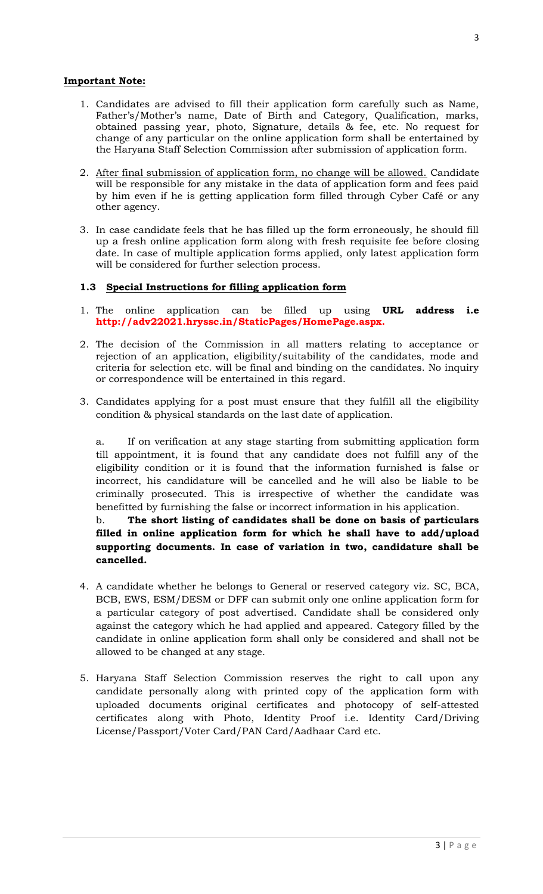### **Important Note:**

- 1. Candidates are advised to fill their application form carefully such as Name, Father's/Mother's name, Date of Birth and Category, Qualification, marks, obtained passing year, photo, Signature, details & fee, etc. No request for change of any particular on the online application form shall be entertained by the Haryana Staff Selection Commission after submission of application form.
- 2. After final submission of application form, no change will be allowed. Candidate will be responsible for any mistake in the data of application form and fees paid by him even if he is getting application form filled through Cyber Café or any other agency.
- 3. In case candidate feels that he has filled up the form erroneously, he should fill up a fresh online application form along with fresh requisite fee before closing date. In case of multiple application forms applied, only latest application form will be considered for further selection process.

### **1.3 Special Instructions for filling application form**

- 1. The online application can be filled up using **URL address i.e http://adv22021.hryssc.in/StaticPages/HomePage.aspx.**
- 2. The decision of the Commission in all matters relating to acceptance or rejection of an application, eligibility/suitability of the candidates, mode and criteria for selection etc. will be final and binding on the candidates. No inquiry or correspondence will be entertained in this regard.
- 3. Candidates applying for a post must ensure that they fulfill all the eligibility condition & physical standards on the last date of application.

a. If on verification at any stage starting from submitting application form till appointment, it is found that any candidate does not fulfill any of the eligibility condition or it is found that the information furnished is false or incorrect, his candidature will be cancelled and he will also be liable to be criminally prosecuted. This is irrespective of whether the candidate was benefitted by furnishing the false or incorrect information in his application.

# b. **The short listing of candidates shall be done on basis of particulars filled in online application form for which he shall have to add/upload supporting documents. In case of variation in two, candidature shall be cancelled.**

- 4. A candidate whether he belongs to General or reserved category viz. SC, BCA, BCB, EWS, ESM/DESM or DFF can submit only one online application form for a particular category of post advertised. Candidate shall be considered only against the category which he had applied and appeared. Category filled by the candidate in online application form shall only be considered and shall not be allowed to be changed at any stage.
- 5. Haryana Staff Selection Commission reserves the right to call upon any candidate personally along with printed copy of the application form with uploaded documents original certificates and photocopy of self-attested certificates along with Photo, Identity Proof i.e. Identity Card/Driving License/Passport/Voter Card/PAN Card/Aadhaar Card etc.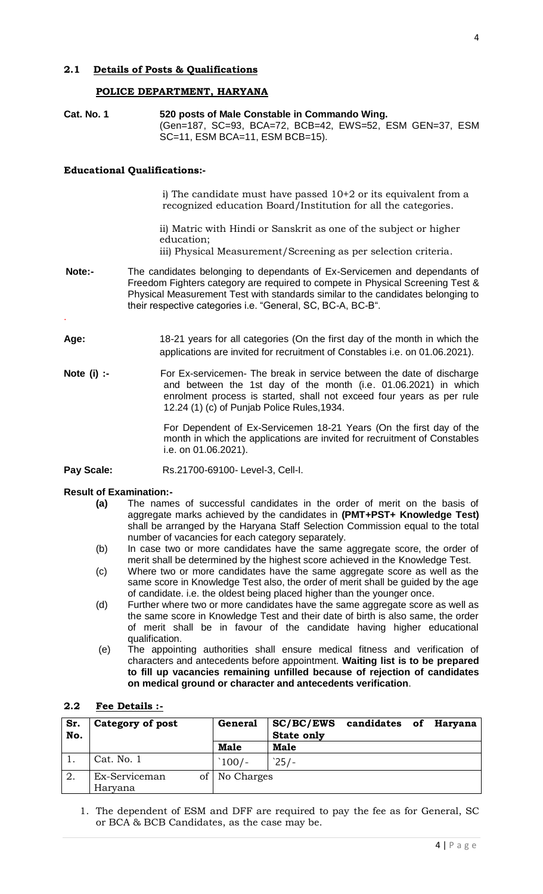### **POLICE DEPARTMENT, HARYANA**

**Cat. No. 1 520 posts of Male Constable in Commando Wing.** (Gen=187, SC=93, BCA=72, BCB=42, EWS=52, ESM GEN=37, ESM SC=11, ESM BCA=11, ESM BCB=15).

### **Educational Qualifications:-**

i) The candidate must have passed 10+2 or its equivalent from a recognized education Board/Institution for all the categories.

ii) Matric with Hindi or Sanskrit as one of the subject or higher education;

iii) Physical Measurement/Screening as per selection criteria.

- **Note:-** The candidates belonging to dependants of Ex-Servicemen and dependants of Freedom Fighters category are required to compete in Physical Screening Test & Physical Measurement Test with standards similar to the candidates belonging to their respective categories i.e. "General, SC, BC-A, BC-B".
- **Age:** 18-21 years for all categories (On the first day of the month in which the applications are invited for recruitment of Constables i.e. on 01.06.2021).
- **Note (i) :-** For Ex-servicemen- The break in service between the date of discharge and between the 1st day of the month (i.e. 01.06.2021) in which enrolment process is started, shall not exceed four years as per rule 12.24 (1) (c) of Punjab Police Rules,1934.

For Dependent of Ex-Servicemen 18-21 Years (On the first day of the month in which the applications are invited for recruitment of Constables i.e. on 01.06.2021).

**Pay Scale:** Rs.21700-69100- Level-3, Cell-I.

### **Result of Examination:-**

.

- **(a)** The names of successful candidates in the order of merit on the basis of aggregate marks achieved by the candidates in **(PMT+PST+ Knowledge Test)** shall be arranged by the Haryana Staff Selection Commission equal to the total number of vacancies for each category separately.
- (b) In case two or more candidates have the same aggregate score, the order of merit shall be determined by the highest score achieved in the Knowledge Test.
- (c) Where two or more candidates have the same aggregate score as well as the same score in Knowledge Test also, the order of merit shall be guided by the age of candidate. i.e. the oldest being placed higher than the younger once.
- (d) Further where two or more candidates have the same aggregate score as well as the same score in Knowledge Test and their date of birth is also same, the order of merit shall be in favour of the candidate having higher educational qualification.
- (e) The appointing authorities shall ensure medical fitness and verification of characters and antecedents before appointment. **Waiting list is to be prepared to fill up vacancies remaining unfilled because of rejection of candidates on medical ground or character and antecedents verification**.

### **2.2 Fee Details :-**

| Sr.<br>No. | Category of post | <b>General</b>  | SC/BC/EWS<br><b>State only</b> | candidates of Haryana |  |  |
|------------|------------------|-----------------|--------------------------------|-----------------------|--|--|
|            |                  | <b>Male</b>     | <b>Male</b>                    |                       |  |  |
|            | Cat. No. 1       | $100/-$         | $25/-$                         |                       |  |  |
| 2.         | Ex-Serviceman    | of   No Charges |                                |                       |  |  |
|            | Haryana          |                 |                                |                       |  |  |

1. The dependent of ESM and DFF are required to pay the fee as for General, SC or BCA & BCB Candidates, as the case may be.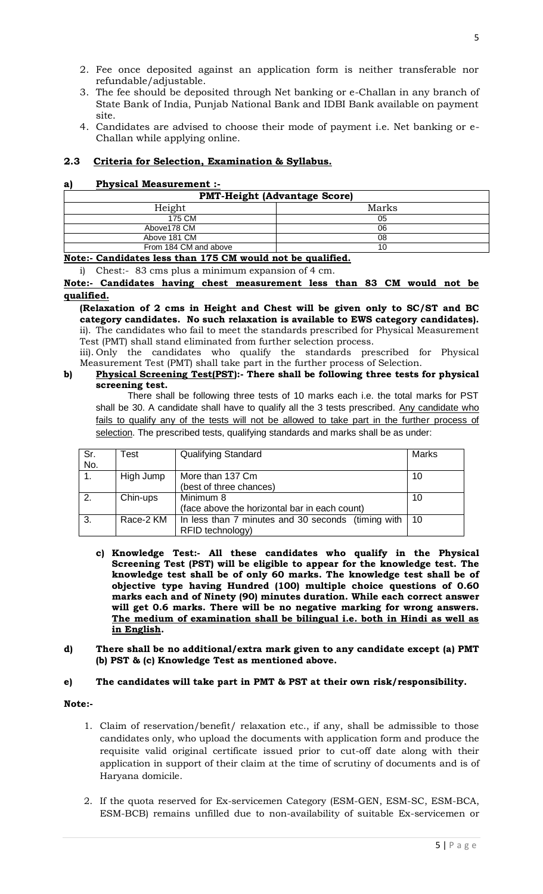- 2. Fee once deposited against an application form is neither transferable nor refundable/adjustable.
- 3. The fee should be deposited through Net banking or e-Challan in any branch of State Bank of India, Punjab National Bank and IDBI Bank available on payment site.
- 4. Candidates are advised to choose their mode of payment i.e. Net banking or e-Challan while applying online.

### **2.3 Criteria for Selection, Examination & Syllabus.**

### **a) Physical Measurement :-**

| <b>PMT-Height (Advantage Score)</b> |       |  |  |
|-------------------------------------|-------|--|--|
| Height                              | Marks |  |  |
| 175 CM                              | 05    |  |  |
| Above178 CM                         | 06    |  |  |
| Above 181 CM                        | 08    |  |  |
| From 184 CM and above               | 10    |  |  |

**Note:- Candidates less than 175 CM would not be qualified.**

i) Chest:- 83 cms plus a minimum expansion of 4 cm.

**Note:- Candidates having chest measurement less than 83 CM would not be qualified.**

**(Relaxation of 2 cms in Height and Chest will be given only to SC/ST and BC category candidates. No such relaxation is available to EWS category candidates).** ii). The candidates who fail to meet the standards prescribed for Physical Measurement Test (PMT) shall stand eliminated from further selection process.

iii). Only the candidates who qualify the standards prescribed for Physical Measurement Test (PMT) shall take part in the further process of Selection.

#### **b) Physical Screening Test(PST):- There shall be following three tests for physical screening test.**

There shall be following three tests of 10 marks each i.e. the total marks for PST shall be 30. A candidate shall have to qualify all the 3 tests prescribed. Any candidate who fails to qualify any of the tests will not be allowed to take part in the further process of selection. The prescribed tests, qualifying standards and marks shall be as under:

| Sr.<br>No. | Test      | <b>Qualifying Standard</b>                                             | Marks |
|------------|-----------|------------------------------------------------------------------------|-------|
|            | High Jump | More than 137 Cm<br>(best of three chances)                            | 10    |
| 2.         | Chin-ups  | Minimum 8<br>(face above the horizontal bar in each count)             | 10    |
| 3.         | Race-2 KM | In less than 7 minutes and 30 seconds (timing with<br>RFID technology) | 10    |

- **c) Knowledge Test:- All these candidates who qualify in the Physical Screening Test (PST) will be eligible to appear for the knowledge test. The knowledge test shall be of only 60 marks. The knowledge test shall be of objective type having Hundred (100) multiple choice questions of 0.60 marks each and of Ninety (90) minutes duration. While each correct answer will get 0.6 marks. There will be no negative marking for wrong answers. The medium of examination shall be bilingual i.e. both in Hindi as well as in English.**
- **d) There shall be no additional/extra mark given to any candidate except (a) PMT (b) PST & (c) Knowledge Test as mentioned above.**

#### **e) The candidates will take part in PMT & PST at their own risk/responsibility.**

#### **Note:-**

- 1. Claim of reservation/benefit/ relaxation etc., if any, shall be admissible to those candidates only, who upload the documents with application form and produce the requisite valid original certificate issued prior to cut-off date along with their application in support of their claim at the time of scrutiny of documents and is of Haryana domicile.
- 2. If the quota reserved for Ex-servicemen Category (ESM-GEN, ESM-SC, ESM-BCA, ESM-BCB) remains unfilled due to non-availability of suitable Ex-servicemen or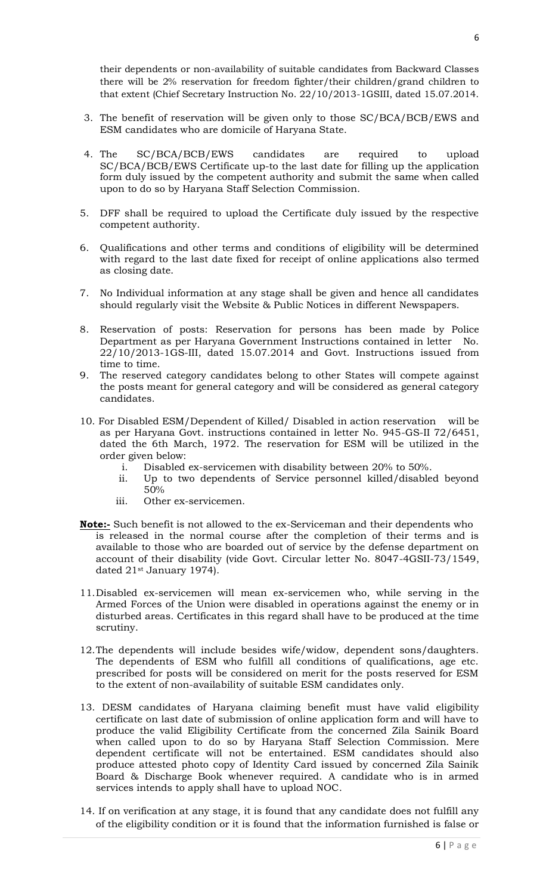their dependents or non-availability of suitable candidates from Backward Classes there will be 2% reservation for freedom fighter/their children/grand children to that extent (Chief Secretary Instruction No. 22/10/2013-1GSIII, dated 15.07.2014.

- 3. The benefit of reservation will be given only to those SC/BCA/BCB/EWS and ESM candidates who are domicile of Haryana State.
- 4. The SC/BCA/BCB/EWS candidates are required to upload SC/BCA/BCB/EWS Certificate up-to the last date for filling up the application form duly issued by the competent authority and submit the same when called upon to do so by Haryana Staff Selection Commission.
- 5. DFF shall be required to upload the Certificate duly issued by the respective competent authority.
- 6. Qualifications and other terms and conditions of eligibility will be determined with regard to the last date fixed for receipt of online applications also termed as closing date.
- 7. No Individual information at any stage shall be given and hence all candidates should regularly visit the Website & Public Notices in different Newspapers.
- 8. Reservation of posts: Reservation for persons has been made by Police Department as per Haryana Government Instructions contained in letter No. 22/10/2013-1GS-III, dated 15.07.2014 and Govt. Instructions issued from time to time.
- 9. The reserved category candidates belong to other States will compete against the posts meant for general category and will be considered as general category candidates.
- 10. For Disabled ESM/Dependent of Killed/ Disabled in action reservation will be as per Haryana Govt. instructions contained in letter No. 945-GS-II 72/6451, dated the 6th March, 1972. The reservation for ESM will be utilized in the order given below:
	- i. Disabled ex-servicemen with disability between 20% to 50%.
	- ii. Up to two dependents of Service personnel killed/disabled beyond 50%
	- iii. Other ex-servicemen.
- **Note:-** Such benefit is not allowed to the ex-Serviceman and their dependents who is released in the normal course after the completion of their terms and is available to those who are boarded out of service by the defense department on account of their disability (vide Govt. Circular letter No. 8047-4GSII-73/1549, dated 21<sup>st</sup> January 1974).
- 11.Disabled ex-servicemen will mean ex-servicemen who, while serving in the Armed Forces of the Union were disabled in operations against the enemy or in disturbed areas. Certificates in this regard shall have to be produced at the time scrutiny.
- 12.The dependents will include besides wife/widow, dependent sons/daughters. The dependents of ESM who fulfill all conditions of qualifications, age etc. prescribed for posts will be considered on merit for the posts reserved for ESM to the extent of non-availability of suitable ESM candidates only.
- 13. DESM candidates of Haryana claiming benefit must have valid eligibility certificate on last date of submission of online application form and will have to produce the valid Eligibility Certificate from the concerned Zila Sainik Board when called upon to do so by Haryana Staff Selection Commission. Mere dependent certificate will not be entertained. ESM candidates should also produce attested photo copy of Identity Card issued by concerned Zila Sainik Board & Discharge Book whenever required. A candidate who is in armed services intends to apply shall have to upload NOC.
- 14. If on verification at any stage, it is found that any candidate does not fulfill any of the eligibility condition or it is found that the information furnished is false or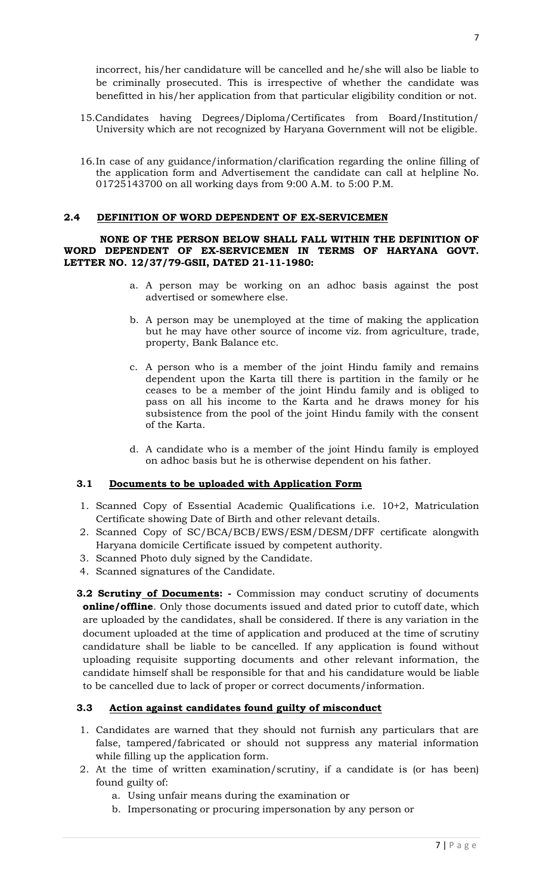incorrect, his/her candidature will be cancelled and he/she will also be liable to be criminally prosecuted. This is irrespective of whether the candidate was benefitted in his/her application from that particular eligibility condition or not.

- 15.Candidates having Degrees/Diploma/Certificates from Board/Institution/ University which are not recognized by Haryana Government will not be eligible.
- 16.In case of any guidance/information/clarification regarding the online filling of the application form and Advertisement the candidate can call at helpline No. 01725143700 on all working days from 9:00 A.M. to 5:00 P.M.

### **2.4 DEFINITION OF WORD DEPENDENT OF EX-SERVICEMEN**

#### **NONE OF THE PERSON BELOW SHALL FALL WITHIN THE DEFINITION OF WORD DEPENDENT OF EX-SERVICEMEN IN TERMS OF HARYANA GOVT. LETTER NO. 12/37/79-GSII, DATED 21-11-1980:**

- a. A person may be working on an adhoc basis against the post advertised or somewhere else.
- b. A person may be unemployed at the time of making the application but he may have other source of income viz. from agriculture, trade, property, Bank Balance etc.
- c. A person who is a member of the joint Hindu family and remains dependent upon the Karta till there is partition in the family or he ceases to be a member of the joint Hindu family and is obliged to pass on all his income to the Karta and he draws money for his subsistence from the pool of the joint Hindu family with the consent of the Karta.
- d. A candidate who is a member of the joint Hindu family is employed on adhoc basis but he is otherwise dependent on his father.

### **3.1 Documents to be uploaded with Application Form**

- 1. Scanned Copy of Essential Academic Qualifications i.e. 10+2, Matriculation Certificate showing Date of Birth and other relevant details.
- 2. Scanned Copy of SC/BCA/BCB/EWS/ESM/DESM/DFF certificate alongwith Haryana domicile Certificate issued by competent authority.
- 3. Scanned Photo duly signed by the Candidate.
- 4. Scanned signatures of the Candidate.
- **3.2 Scrutiny of Documents: -** Commission may conduct scrutiny of documents **online/offline**. Only those documents issued and dated prior to cutoff date, which are uploaded by the candidates, shall be considered. If there is any variation in the document uploaded at the time of application and produced at the time of scrutiny candidature shall be liable to be cancelled. If any application is found without uploading requisite supporting documents and other relevant information, the candidate himself shall be responsible for that and his candidature would be liable to be cancelled due to lack of proper or correct documents/information.

### **3.3 Action against candidates found guilty of misconduct**

- 1. Candidates are warned that they should not furnish any particulars that are false, tampered/fabricated or should not suppress any material information while filling up the application form.
- 2. At the time of written examination/scrutiny, if a candidate is (or has been) found guilty of:
	- a. Using unfair means during the examination or
	- b. Impersonating or procuring impersonation by any person or